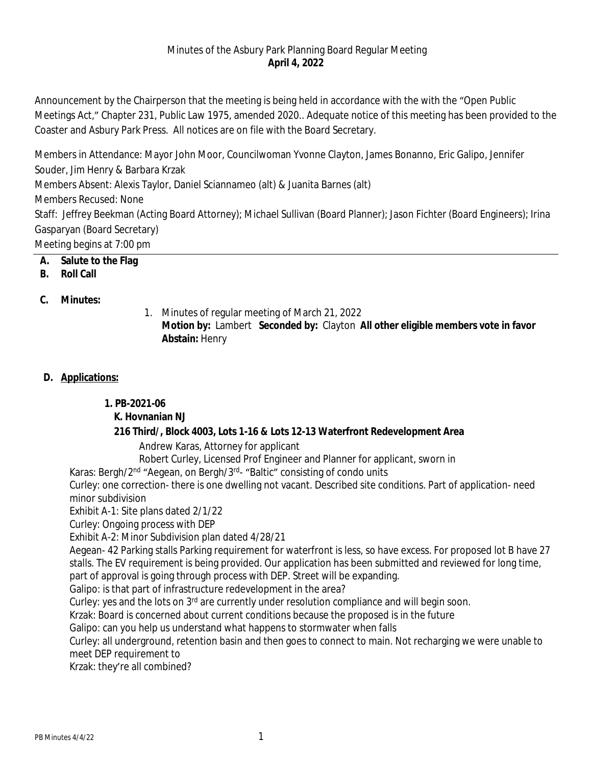### Minutes of the Asbury Park Planning Board Regular Meeting **April 4, 2022**

Announcement by the Chairperson that the meeting is being held in accordance with the with the "Open Public Meetings Act," Chapter 231, Public Law 1975, amended 2020.. Adequate notice of this meeting has been provided to the Coaster and Asbury Park Press. All notices are on file with the Board Secretary.

Members in Attendance: Mayor John Moor, Councilwoman Yvonne Clayton, James Bonanno, Eric Galipo, Jennifer Souder, Jim Henry & Barbara Krzak Members Absent: Alexis Taylor, Daniel Sciannameo (alt) & Juanita Barnes (alt) Members Recused: None Staff: Jeffrey Beekman (Acting Board Attorney); Michael Sullivan (Board Planner); Jason Fichter (Board Engineers); Irina Gasparyan (Board Secretary) Meeting begins at 7:00 pm

- **A. Salute to the Flag**
- **B. Roll Call**

## **C. Minutes:**

1. Minutes of regular meeting of March 21, 2022 **Motion by:** Lambert **Seconded by:** Clayton **All other eligible members vote in favor Abstain:** Henry

## **D. Applications:**

## **1. PB-2021-06**

# **K. Hovnanian NJ**

# **216 Third/, Block 4003, Lots 1-16 & Lots 12-13 Waterfront Redevelopment Area**

Andrew Karas, Attorney for applicant

Robert Curley, Licensed Prof Engineer and Planner for applicant, sworn in

Karas: Bergh/2<sup>nd</sup> "Aegean, on Bergh/3<sup>rd</sup>- "Baltic" consisting of condo units

Curley: one correction- there is one dwelling not vacant. Described site conditions. Part of application- need minor subdivision

Exhibit A-1: Site plans dated 2/1/22

Curley: Ongoing process with DEP

Exhibit A-2: Minor Subdivision plan dated 4/28/21

Aegean- 42 Parking stalls Parking requirement for waterfront is less, so have excess. For proposed lot B have 27 stalls. The EV requirement is being provided. Our application has been submitted and reviewed for long time,

part of approval is going through process with DEP. Street will be expanding.

Galipo: is that part of infrastructure redevelopment in the area?

Curley: yes and the lots on 3<sup>rd</sup> are currently under resolution compliance and will begin soon.

Krzak: Board is concerned about current conditions because the proposed is in the future

Galipo: can you help us understand what happens to stormwater when falls

Curley: all underground, retention basin and then goes to connect to main. Not recharging we were unable to meet DEP requirement to

Krzak: they're all combined?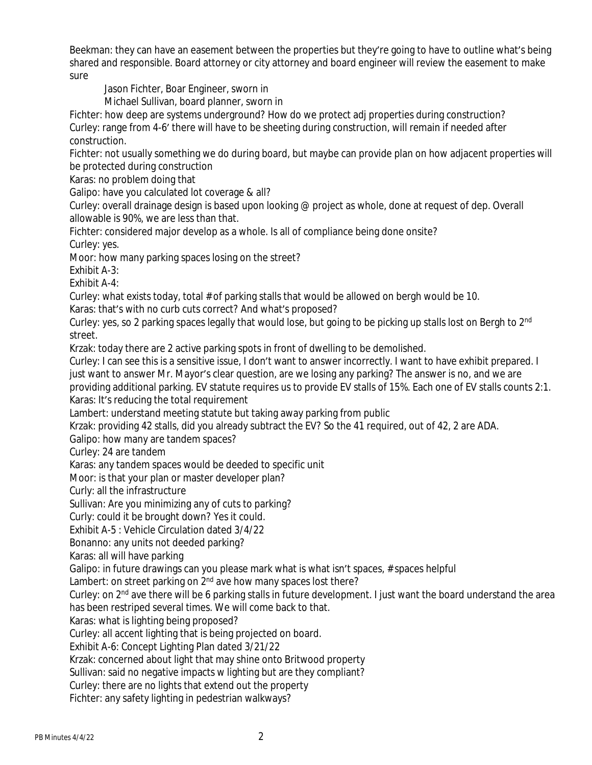Beekman: they can have an easement between the properties but they're going to have to outline what's being shared and responsible. Board attorney or city attorney and board engineer will review the easement to make sure

Jason Fichter, Boar Engineer, sworn in

Michael Sullivan, board planner, sworn in

Fichter: how deep are systems underground? How do we protect adj properties during construction? Curley: range from 4-6' there will have to be sheeting during construction, will remain if needed after construction.

Fichter: not usually something we do during board, but maybe can provide plan on how adjacent properties will be protected during construction

Karas: no problem doing that

Galipo: have you calculated lot coverage & all?

Curley: overall drainage design is based upon looking @ project as whole, done at request of dep. Overall allowable is 90%, we are less than that.

Fichter: considered major develop as a whole. Is all of compliance being done onsite? Curley: yes.

Moor: how many parking spaces losing on the street?

Exhibit A-3:

Exhibit A-4:

Curley: what exists today, total # of parking stalls that would be allowed on bergh would be 10.

Karas: that's with no curb cuts correct? And what's proposed?

Curley: yes, so 2 parking spaces legally that would lose, but going to be picking up stalls lost on Bergh to 2<sup>nd</sup> street.

Krzak: today there are 2 active parking spots in front of dwelling to be demolished.

Curley: I can see this is a sensitive issue, I don't want to answer incorrectly. I want to have exhibit prepared. I just want to answer Mr. Mayor's clear question, are we losing any parking? The answer is no, and we are providing additional parking. EV statute requires us to provide EV stalls of 15%. Each one of EV stalls counts 2:1. Karas: It's reducing the total requirement

Lambert: understand meeting statute but taking away parking from public

Krzak: providing 42 stalls, did you already subtract the EV? So the 41 required, out of 42, 2 are ADA.

Galipo: how many are tandem spaces?

Curley: 24 are tandem

Karas: any tandem spaces would be deeded to specific unit

Moor: is that your plan or master developer plan?

Curly: all the infrastructure

Sullivan: Are you minimizing any of cuts to parking?

Curly: could it be brought down? Yes it could.

Exhibit A-5 : Vehicle Circulation dated 3/4/22

Bonanno: any units not deeded parking?

Karas: all will have parking

Galipo: in future drawings can you please mark what is what isn't spaces, # spaces helpful

Lambert: on street parking on 2<sup>nd</sup> ave how many spaces lost there?

Curley: on 2<sup>nd</sup> ave there will be 6 parking stalls in future development. I just want the board understand the area has been restriped several times. We will come back to that.

Karas: what is lighting being proposed?

Curley: all accent lighting that is being projected on board.

Exhibit A-6: Concept Lighting Plan dated 3/21/22

Krzak: concerned about light that may shine onto Britwood property

Sullivan: said no negative impacts w lighting but are they compliant?

Curley: there are no lights that extend out the property

Fichter: any safety lighting in pedestrian walkways?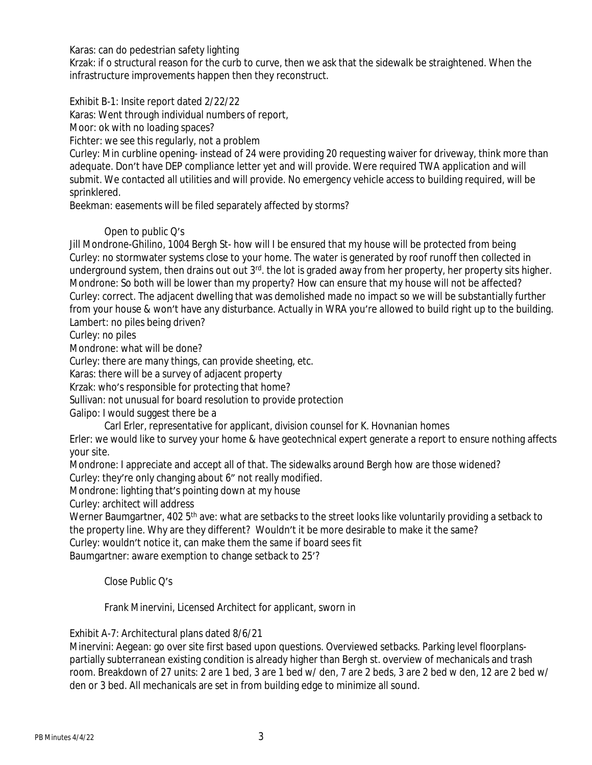Karas: can do pedestrian safety lighting

Krzak: if o structural reason for the curb to curve, then we ask that the sidewalk be straightened. When the infrastructure improvements happen then they reconstruct.

#### Exhibit B-1: Insite report dated 2/22/22

Karas: Went through individual numbers of report,

Moor: ok with no loading spaces?

Fichter: we see this regularly, not a problem

Curley: Min curbline opening- instead of 24 were providing 20 requesting waiver for driveway, think more than adequate. Don't have DEP compliance letter yet and will provide. Were required TWA application and will submit. We contacted all utilities and will provide. No emergency vehicle access to building required, will be sprinklered.

Beekman: easements will be filed separately affected by storms?

### Open to public Q's

Jill Mondrone-Ghilino, 1004 Bergh St- how will I be ensured that my house will be protected from being Curley: no stormwater systems close to your home. The water is generated by roof runoff then collected in underground system, then drains out out 3<sup>rd</sup>. the lot is graded away from her property, her property sits higher. Mondrone: So both will be lower than my property? How can ensure that my house will not be affected? Curley: correct. The adjacent dwelling that was demolished made no impact so we will be substantially further from your house & won't have any disturbance. Actually in WRA you're allowed to build right up to the building. Lambert: no piles being driven?

Curley: no piles

Mondrone: what will be done?

Curley: there are many things, can provide sheeting, etc.

Karas: there will be a survey of adjacent property

Krzak: who's responsible for protecting that home?

Sullivan: not unusual for board resolution to provide protection

Galipo: I would suggest there be a

Carl Erler, representative for applicant, division counsel for K. Hovnanian homes

Erler: we would like to survey your home & have geotechnical expert generate a report to ensure nothing affects your site.

Mondrone: I appreciate and accept all of that. The sidewalks around Bergh how are those widened?

Curley: they're only changing about 6" not really modified.

Mondrone: lighting that's pointing down at my house

Curley: architect will address

Werner Baumgartner, 402 5<sup>th</sup> ave: what are setbacks to the street looks like voluntarily providing a setback to the property line. Why are they different? Wouldn't it be more desirable to make it the same?

Curley: wouldn't notice it, can make them the same if board sees fit

Baumgartner: aware exemption to change setback to 25'?

Close Public Q's

Frank Minervini, Licensed Architect for applicant, sworn in

Exhibit A-7: Architectural plans dated 8/6/21

Minervini: Aegean: go over site first based upon questions. Overviewed setbacks. Parking level floorplanspartially subterranean existing condition is already higher than Bergh st. overview of mechanicals and trash room. Breakdown of 27 units: 2 are 1 bed, 3 are 1 bed w/ den, 7 are 2 beds, 3 are 2 bed w den, 12 are 2 bed w/ den or 3 bed. All mechanicals are set in from building edge to minimize all sound.